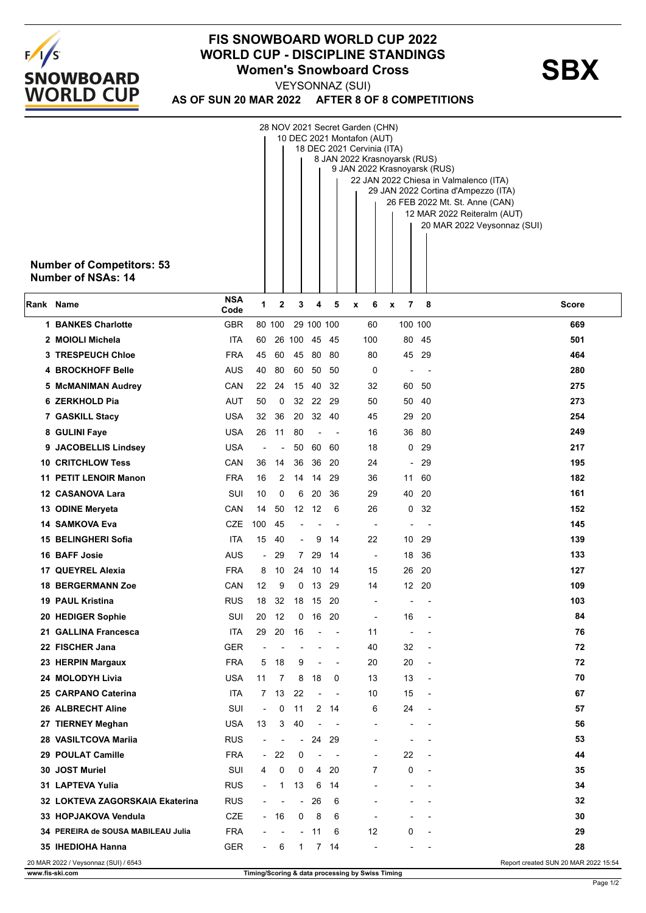

## **FIS SNOWBOARD WORLD CUP 2022** WORLD CUP - DISCIPLINE STANDINGS<br>
Women's Snowboard Cross<br>
YEYSONNAZ (SUI)

**AS OF SUN 20 MAR 2022 AFTER 8 OF 8 COMPETITIONS** VEYSONNAZ (SUI)

| 28 NOV 2021 Secret Garden (CHN)<br>10 DEC 2021 Montafon (AUT) |                              |                          |              |                          |                          |                |                                                  |                          |                                |                                                            |  |
|---------------------------------------------------------------|------------------------------|--------------------------|--------------|--------------------------|--------------------------|----------------|--------------------------------------------------|--------------------------|--------------------------------|------------------------------------------------------------|--|
|                                                               |                              |                          |              |                          |                          |                | 18 DEC 2021 Cervinia (ITA)                       |                          |                                |                                                            |  |
|                                                               | 8 JAN 2022 Krasnoyarsk (RUS) |                          |              |                          |                          |                |                                                  |                          |                                |                                                            |  |
|                                                               |                              |                          |              |                          |                          |                | 9 JAN 2022 Krasnoyarsk (RUS)                     |                          |                                | 22 JAN 2022 Chiesa in Valmalenco (ITA)                     |  |
|                                                               |                              |                          |              |                          |                          |                |                                                  |                          |                                | 29 JAN 2022 Cortina d'Ampezzo (ITA)                        |  |
|                                                               |                              |                          |              |                          |                          |                |                                                  |                          | 26 FEB 2022 Mt. St. Anne (CAN) |                                                            |  |
|                                                               |                              |                          |              |                          |                          |                |                                                  |                          |                                | 12 MAR 2022 Reiteralm (AUT)<br>20 MAR 2022 Veysonnaz (SUI) |  |
|                                                               |                              |                          |              |                          |                          |                |                                                  |                          |                                |                                                            |  |
|                                                               |                              |                          |              |                          |                          |                |                                                  |                          |                                |                                                            |  |
| <b>Number of Competitors: 53</b>                              |                              |                          |              |                          |                          |                |                                                  |                          |                                |                                                            |  |
| <b>Number of NSAs: 14</b>                                     |                              |                          |              |                          |                          |                |                                                  |                          |                                |                                                            |  |
| Rank Name                                                     | <b>NSA</b><br>Code           | 1                        | 2            | 3                        | 4                        | 5              | 6<br>x                                           | 7<br>X                   | -8                             | <b>Score</b>                                               |  |
| <b>1 BANKES Charlotte</b>                                     | <b>GBR</b>                   |                          | 80 100       |                          | 29 100 100               |                | 60                                               |                          | 100 100                        | 669                                                        |  |
| 2 MOIOLI Michela                                              | <b>ITA</b>                   | 60                       |              | 26 100                   |                          | 45 45          | 100                                              | 80                       | 45                             | 501                                                        |  |
| <b>3 TRESPEUCH Chloe</b>                                      | <b>FRA</b>                   | 45                       | 60           | 45                       | 80 80                    |                | 80                                               |                          | 45 29                          | 464                                                        |  |
| <b>4 BROCKHOFF Belle</b>                                      | AUS                          | 40                       | 80           | 60                       | 50                       | 50             | 0                                                | $\blacksquare$           | $\overline{\phantom{a}}$       | 280                                                        |  |
| 5 McMANIMAN Audrey                                            | CAN                          | 22                       | 24           | 15                       | 40                       | 32             | 32                                               | 60                       | -50                            | 275                                                        |  |
| 6 ZERKHOLD Pia                                                | AUT                          | 50                       | 0            |                          | 32 22 29                 |                | 50                                               |                          | 50 40                          | 273                                                        |  |
| 7 GASKILL Stacy                                               | <b>USA</b>                   | 32                       | 36           | 20                       |                          | 32 40          | 45                                               | 29                       | 20                             | 254                                                        |  |
| 8 GULINI Faye                                                 | <b>USA</b>                   | 26                       | 11           | 80                       | $\overline{\phantom{a}}$ |                | 16                                               | 36                       | 80                             | 249                                                        |  |
| 9 JACOBELLIS Lindsey                                          | <b>USA</b>                   |                          |              | 50                       |                          | 60 60          | 18                                               | 0                        | 29                             | 217                                                        |  |
| <b>10 CRITCHLOW Tess</b>                                      | CAN                          | 36                       | 14           | 36                       | 36                       | -20            | 24                                               | $\overline{a}$           | 29                             | 195                                                        |  |
| <b>11 PETIT LENOIR Manon</b>                                  | <b>FRA</b>                   | 16                       | 2            | 14                       | 14                       | -29            | 36                                               | 11                       | 60                             | 182                                                        |  |
| 12 CASANOVA Lara                                              | SUI                          | 10                       | 0            | 6                        | 20                       | 36             | 29                                               | 40                       | 20                             | 161                                                        |  |
| 13 ODINE Meryeta                                              | <b>CAN</b>                   | 14                       | 50           |                          | 12 12                    | -6             | 26                                               | 0                        | 32                             | 152                                                        |  |
| 14 SAMKOVA Eva                                                | CZE                          | 100                      | 45           |                          |                          |                |                                                  | $\overline{\phantom{a}}$ |                                | 145                                                        |  |
| 15 BELINGHERI Sofia                                           | ITA                          | 15                       | 40           | $\overline{\phantom{a}}$ | 9                        | 14             | 22                                               | 10                       | 29                             | 139                                                        |  |
| <b>16 BAFF Josie</b>                                          | AUS                          | $\overline{\phantom{a}}$ | 29           | 7                        | 29                       | -14            | $\overline{\phantom{a}}$                         | 18                       | 36                             | 133                                                        |  |
| 17 QUEYREL Alexia                                             | <b>FRA</b>                   | 8                        | 10           |                          | 24 10                    | -14            | 15                                               | 26                       | -20                            | 127                                                        |  |
| <b>18 BERGERMANN Zoe</b>                                      | CAN                          | 12                       | 9            | 0                        | 13                       | 29             | 14                                               |                          | 12 20                          | 109                                                        |  |
| <b>19 PAUL Kristina</b>                                       | <b>RUS</b>                   | 18                       | 32           |                          | 18 15                    | -20            | $\overline{\phantom{a}}$                         | $\overline{\phantom{0}}$ | $\overline{\phantom{0}}$       | 103                                                        |  |
| 20 HEDIGER Sophie                                             | SUI                          | 20                       | 12           |                          | $0$ 16 20                |                |                                                  | 16                       |                                | 84                                                         |  |
| 21 GALLINA Francesca                                          | <b>ITA</b>                   | 29                       | 20           | 16                       | $\overline{\phantom{a}}$ |                | 11                                               | $\overline{\phantom{a}}$ |                                | 76                                                         |  |
| 22 FISCHER Jana                                               | <b>GER</b>                   |                          |              |                          |                          |                | 40                                               | 32                       | $\overline{\phantom{a}}$       | 72                                                         |  |
| 23 HERPIN Margaux                                             | <b>FRA</b>                   | 5                        | 18           | 9                        | $\overline{a}$           | $\overline{a}$ | 20                                               | 20                       | $\overline{\phantom{a}}$       | 72                                                         |  |
| 24 MOLODYH Livia                                              | USA                          | 11                       | 7            | 8                        | 18                       | 0              | 13                                               | 13                       |                                | 70                                                         |  |
| 25 CARPANO Caterina                                           | <b>ITA</b>                   | $7^{\circ}$              | 13           | 22                       |                          | ÷,             | 10                                               | 15                       |                                | 67                                                         |  |
| 26 ALBRECHT Aline                                             | SUI                          | $\overline{\phantom{a}}$ | 0            | 11                       | $\mathbf{2}$             | 14             | 6                                                | 24                       | $\overline{\phantom{a}}$       | 57                                                         |  |
| 27 TIERNEY Meghan                                             | <b>USA</b>                   | 13                       | 3            | 40                       |                          |                |                                                  |                          |                                | 56                                                         |  |
| 28 VASILTCOVA Marija                                          | <b>RUS</b>                   | $\overline{\phantom{0}}$ |              | $\overline{\phantom{a}}$ | 24                       | 29             |                                                  |                          |                                | 53                                                         |  |
| 29 POULAT Camille                                             | <b>FRA</b>                   | $\overline{\phantom{a}}$ | 22           | 0                        |                          | ÷,             |                                                  | 22                       |                                | 44                                                         |  |
| 30 JOST Muriel                                                | SUI                          | 4                        | 0            | 0                        | 4                        | 20             | 7                                                | 0                        |                                | 35                                                         |  |
| 31 LAPTEVA Yulia                                              | <b>RUS</b>                   | $\blacksquare$           | $\mathbf{1}$ | 13                       | 6                        | 14             |                                                  |                          |                                | 34                                                         |  |
| 32 LOKTEVA ZAGORSKAIA Ekaterina                               | <b>RUS</b>                   | $\overline{\phantom{a}}$ | ٠            | $\overline{\phantom{a}}$ | 26                       | 6              |                                                  |                          |                                | 32                                                         |  |
| 33 HOPJAKOVA Vendula                                          | CZE                          |                          | - 16         | 0                        | 8                        | 6              |                                                  |                          |                                | 30                                                         |  |
| 34 PEREIRA de SOUSA MABILEAU Julia                            | <b>FRA</b>                   | $\overline{\phantom{a}}$ |              |                          | $-11$                    | 6              | 12                                               | 0                        | $\blacksquare$                 | 29                                                         |  |
| 35 IHEDIOHA Hanna                                             | <b>GER</b>                   | $\overline{\phantom{a}}$ | 6            | 1                        | 7                        | 14             |                                                  |                          |                                | 28                                                         |  |
| 20 MAR 2022 / Veysonnaz (SUI) / 6543                          |                              |                          |              |                          |                          |                |                                                  |                          |                                | Report created SUN 20 MAR 2022 15:54                       |  |
| www.fis-ski.com                                               |                              |                          |              |                          |                          |                | Timing/Scoring & data processing by Swiss Timing |                          |                                |                                                            |  |

Page 1/2